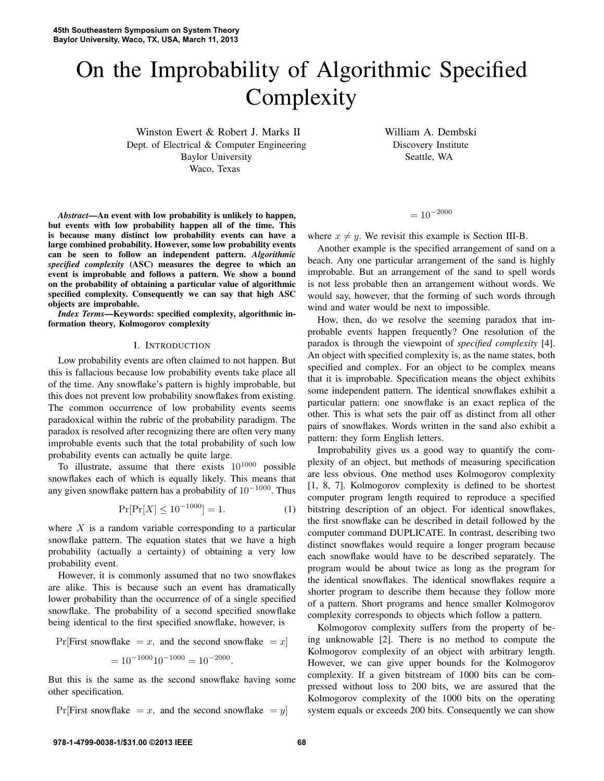# On the Improbability of Algorithmic Specified **Complexity**

Winston Ewert & Robert J. Marks II Dept. of Electrical & Computer Engineering Baylor University Waco, Texas

William A. Dembski Discovery Institute Seattle, WA

*Abstract*—An event with low probability is unlikely to happen, but events with low probability happen all of the time. This is because many distinct low probability events can have a large combined probability. However, some low probability events can be seen to follow an independent pattern. *Algorithmic specified complexity* (ASC) measures the degree to which an event is improbable and follows a pattern. We show a bound on the probability of obtaining a particular value of algorithmic specified complexity. Consequently we can say that high ASC objects are improbable.

*Index Terms*—Keywords: specified complexity, algorithmic information theory, Kolmogorov complexity

## I. INTRODUCTION

Low probability events are often claimed to not happen. But this is fallacious because low probability events take place all of the time. Any snowflake's pattern is highly improbable, but this does not prevent low probability snowflakes from existing. The common occurrence of low probability events seems paradoxical within the rubric of the probability paradigm. The paradox is resolved after recognizing there are often very many improbable events such that the total probability of such low probability events can actually be quite large.

To illustrate, assume that there exists  $10^{1000}$  possible snowflakes each of which is equally likely. This means that any given snowflake pattern has a probability of  $10^{-1000}$ . Thus

$$
\Pr[\Pr[X] \le 10^{-1000}] = 1. \tag{1}
$$

where  $X$  is a random variable corresponding to a particular snowflake pattern. The equation states that we have a high probability (actually a certainty) of obtaining a very low probability event.

However, it is commonly assumed that no two snowflakes are alike. This is because such an event has dramatically lower probability than the occurrence of of a single specified snowflake. The probability of a second specified snowflake being identical to the first specified snowflake, however, is

Pr[First snowflake = x, and the second snowflake = x]  
= 
$$
10^{-1000}10^{-1000} = 10^{-2000}
$$
.

But this is the same as the second snowflake having some other specification.

$$
Pr[First snowflake = x, and the second snowflake = y]
$$

 $= 10^{-2000}$ 

where  $x \neq y$ . We revisit this example is Section III-B.

Another example is the specified arrangement of sand on a beach. Any one particular arrangement of the sand is highly improbable. But an arrangement of the sand to spell words is not less probable then an arrangement without words. We would say, however, that the forming of such words through wind and water would be next to impossible.

How, then, do we resolve the seeming paradox that improbable events happen frequently? One resolution of the paradox is through the viewpoint of *specified complexity* [4]. An object with specified complexity is, as the name states, both specified and complex. For an object to be complex means that it is improbable. Specification means the object exhibits some independent pattern. The identical snowflakes exhibit a particular pattern: one snowflake is an exact replica of the other. This is what sets the pair off as distinct from all other pairs of snowflakes. Words written in the sand also exhibit a pattern: they form English letters.

Improbability gives us a good way to quantify the complexity of an object, but methods of measuring specification are less obvious. One method uses Kolmogorov complexity [1, 8, 7]. Kolmogorov complexity is defined to be shortest computer program length required to reproduce a specified bitstring description of an object. For identical snowflakes, the first snowflake can be described in detail followed by the computer command DUPLICATE. In contrast, describing two distinct snowflakes would require a longer program because each snowflake would have to be described separately. The program would be about twice as long as the program for the identical snowflakes. The identical snowflakes require a shorter program to describe them because they follow more of a pattern. Short programs and hence smaller Kolmogorov complexity corresponds to objects which follow a pattern.

Kolmogorov complexity suffers from the property of being unknowable [2]. There is no method to compute the Kolmogorov complexity of an object with arbitrary length. However, we can give upper bounds for the Kolmogorov complexity. If a given bitstream of 1000 bits can be compressed without loss to 200 bits, we are assured that the Kolmogorov complexity of the 1000 bits on the operating system equals or exceeds 200 bits. Consequently we can show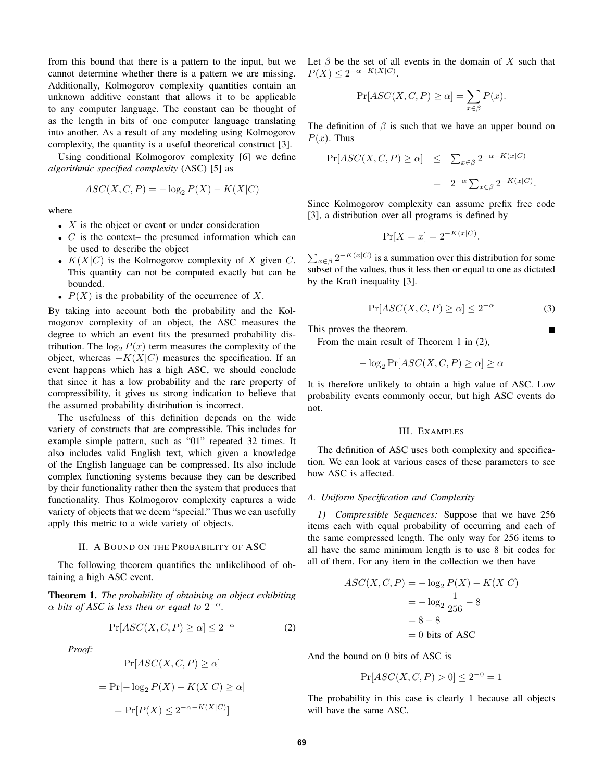from this bound that there is a pattern to the input, but we cannot determine whether there is a pattern we are missing. Additionally, Kolmogorov complexity quantities contain an unknown additive constant that allows it to be applicable to any computer language. The constant can be thought of as the length in bits of one computer language translating into another. As a result of any modeling using Kolmogorov complexity, the quantity is a useful theoretical construct [3].

Using conditional Kolmogorov complexity [6] we define *algorithmic specified complexity* (ASC) [5] as

$$
ASC(X, C, P) = -\log_2 P(X) - K(X|C)
$$

where

- $X$  is the object or event or under consideration
- $C$  is the context- the presumed information which can be used to describe the object
- $K(X|C)$  is the Kolmogorov complexity of X given C. This quantity can not be computed exactly but can be bounded.
- $P(X)$  is the probability of the occurrence of X.

By taking into account both the probability and the Kolmogorov complexity of an object, the ASC measures the degree to which an event fits the presumed probability distribution. The  $\log_2 P(x)$  term measures the complexity of the object, whereas  $-K(X|C)$  measures the specification. If an event happens which has a high ASC, we should conclude that since it has a low probability and the rare property of compressibility, it gives us strong indication to believe that the assumed probability distribution is incorrect.

The usefulness of this definition depends on the wide variety of constructs that are compressible. This includes for example simple pattern, such as "01" repeated 32 times. It also includes valid English text, which given a knowledge of the English language can be compressed. Its also include complex functioning systems because they can be described by their functionality rather then the system that produces that functionality. Thus Kolmogorov complexity captures a wide variety of objects that we deem "special." Thus we can usefully apply this metric to a wide variety of objects.

## II. A BOUND ON THE PROBABILITY OF ASC

The following theorem quantifies the unlikelihood of obtaining a high ASC event.

Theorem 1. *The probability of obtaining an object exhibiting*  $\alpha$  bits of ASC is less then or equal to  $2^{-\alpha}$ .

$$
\Pr[ASC(X, C, P) \ge \alpha] \le 2^{-\alpha} \tag{2}
$$

*Proof:*

$$
\Pr[ASC(X, C, P) \ge \alpha]
$$

$$
= \Pr[\log_2 P(X) - K(X|C) \ge \alpha]
$$

$$
= \Pr[P(X) \le 2^{-\alpha - K(X|C)}]
$$

Let  $\beta$  be the set of all events in the domain of X such that  $P(X) \leq 2^{-\alpha - K(X|C)}$ .

$$
\Pr[ASC(X, C, P) \ge \alpha] = \sum_{x \in \beta} P(x).
$$

The definition of  $\beta$  is such that we have an upper bound on  $P(x)$ . Thus

$$
\begin{array}{rcl} \Pr[ASC(X, C, P) \geq \alpha] & \leq & \sum_{x \in \beta} 2^{-\alpha - K(x|C)} \\ & = & 2^{-\alpha} \sum_{x \in \beta} 2^{-K(x|C)} . \end{array}
$$

Since Kolmogorov complexity can assume prefix free code [3], a distribution over all programs is defined by

$$
\Pr[X = x] = 2^{-K(x|C)}.
$$

 $\sum_{x \in \beta} 2^{-K(x|C)}$  is a summation over this distribution for some subset of the values, thus it less then or equal to one as dictated by the Kraft inequality [3].

$$
\Pr[ASC(X, C, P) \ge \alpha] \le 2^{-\alpha} \tag{3}
$$

This proves the theorem.

From the main result of Theorem 1 in (2),

$$
-\log_2 \Pr[ASC(X, C, P) \ge \alpha] \ge \alpha
$$

It is therefore unlikely to obtain a high value of ASC. Low probability events commonly occur, but high ASC events do not.

#### III. EXAMPLES

The definition of ASC uses both complexity and specification. We can look at various cases of these parameters to see how ASC is affected.

## *A. Uniform Specification and Complexity*

*1) Compressible Sequences:* Suppose that we have 256 items each with equal probability of occurring and each of the same compressed length. The only way for 256 items to all have the same minimum length is to use 8 bit codes for all of them. For any item in the collection we then have

$$
ASC(X, C, P) = -\log_2 P(X) - K(X|C)
$$

$$
= -\log_2 \frac{1}{256} - 8
$$

$$
= 8 - 8
$$

$$
= 0 \text{ bits of ASC}
$$

And the bound on 0 bits of ASC is

$$
Pr[ASC(X, C, P) > 0] \le 2^{-0} = 1
$$

The probability in this case is clearly 1 because all objects will have the same ASC.